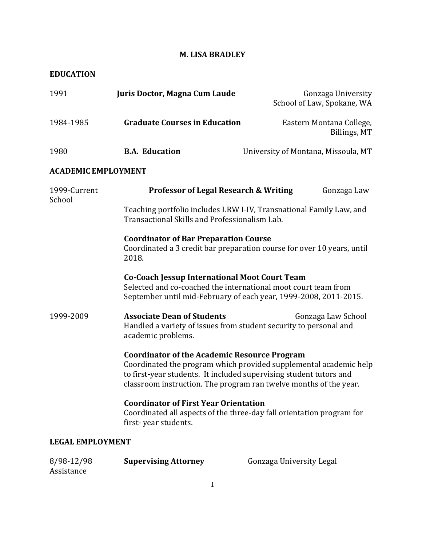# **M. LISA BRADLEY**

### **EDUCATION**

Assistance

| 1991                       | Juris Doctor, Magna Cum Laude                                                                                                                                                                                                                                       | Gonzaga University<br>School of Law, Spokane, WA |
|----------------------------|---------------------------------------------------------------------------------------------------------------------------------------------------------------------------------------------------------------------------------------------------------------------|--------------------------------------------------|
| 1984-1985                  | <b>Graduate Courses in Education</b>                                                                                                                                                                                                                                | Eastern Montana College,<br>Billings, MT         |
| 1980                       | <b>B.A. Education</b>                                                                                                                                                                                                                                               | University of Montana, Missoula, MT              |
| <b>ACADEMIC EMPLOYMENT</b> |                                                                                                                                                                                                                                                                     |                                                  |
| 1999-Current<br>School     | <b>Professor of Legal Research &amp; Writing</b>                                                                                                                                                                                                                    | Gonzaga Law                                      |
|                            | Teaching portfolio includes LRW I-IV, Transnational Family Law, and<br>Transactional Skills and Professionalism Lab.                                                                                                                                                |                                                  |
|                            | <b>Coordinator of Bar Preparation Course</b><br>Coordinated a 3 credit bar preparation course for over 10 years, until<br>2018.                                                                                                                                     |                                                  |
|                            | <b>Co-Coach Jessup International Moot Court Team</b><br>Selected and co-coached the international moot court team from<br>September until mid-February of each year, 1999-2008, 2011-2015.                                                                          |                                                  |
| 1999-2009                  | <b>Associate Dean of Students</b><br>Handled a variety of issues from student security to personal and<br>academic problems.                                                                                                                                        | Gonzaga Law School                               |
|                            | <b>Coordinator of the Academic Resource Program</b><br>Coordinated the program which provided supplemental academic help<br>to first-year students. It included supervising student tutors and<br>classroom instruction. The program ran twelve months of the year. |                                                  |
|                            | <b>Coordinator of First Year Orientation</b><br>Coordinated all aspects of the three-day fall orientation program for<br>first-year students.                                                                                                                       |                                                  |
| <b>LEGAL EMPLOYMENT</b>    |                                                                                                                                                                                                                                                                     |                                                  |
| 8/98-12/98                 | <b>Supervising Attorney</b>                                                                                                                                                                                                                                         | Gonzaga University Legal                         |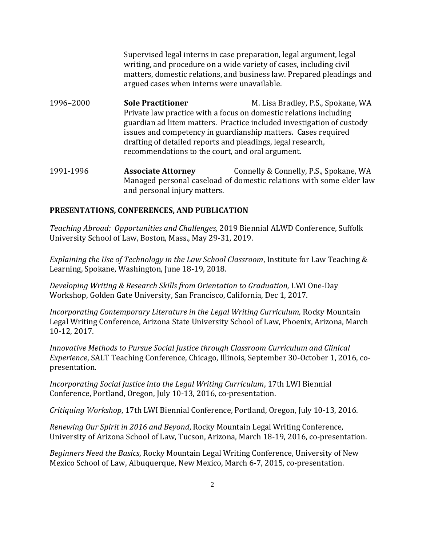Supervised legal interns in case preparation, legal argument, legal writing, and procedure on a wide variety of cases, including civil matters, domestic relations, and business law. Prepared pleadings and argued cases when interns were unavailable.

- 1996–2000 **Sole Practitioner** M. Lisa Bradley, P.S., Spokane, WA Private law practice with a focus on domestic relations including guardian ad litem matters. Practice included investigation of custody issues and competency in guardianship matters. Cases required drafting of detailed reports and pleadings, legal research, recommendations to the court, and oral argument.
- 1991-1996 **Associate Attorney** Connelly & Connelly, P.S., Spokane, WA Managed personal caseload of domestic relations with some elder law and personal injury matters.

#### **PRESENTATIONS, CONFERENCES, AND PUBLICATION**

*Teaching Abroad: Opportunities and Challenges,* 2019 Biennial ALWD Conference, Suffolk University School of Law, Boston, Mass., May 29-31, 2019.

*Explaining the Use of Technology in the Law School Classroom*, Institute for Law Teaching & Learning, Spokane, Washington, June 18-19, 2018.

*Developing Writing & Research Skills from Orientation to Graduation,* LWI One-Day Workshop, Golden Gate University, San Francisco, California, Dec 1, 2017.

*Incorporating Contemporary Literature in the Legal Writing Curriculum,* Rocky Mountain Legal Writing Conference, Arizona State University School of Law, Phoenix, Arizona, March 10-12, 2017.

*Innovative Methods to Pursue Social Justice through Classroom Curriculum and Clinical Experience*, SALT Teaching Conference, Chicago, Illinois, September 30-October 1, 2016, copresentation.

*Incorporating Social Justice into the Legal Writing Curriculum*, 17th LWI Biennial Conference, Portland, Oregon, July 10-13, 2016, co-presentation.

*Critiquing Workshop*, 17th LWI Biennial Conference, Portland, Oregon, July 10-13, 2016.

*Renewing Our Spirit in 2016 and Beyond*, Rocky Mountain Legal Writing Conference, University of Arizona School of Law, Tucson, Arizona, March 18-19, 2016, co-presentation.

*Beginners Need the Basics*, Rocky Mountain Legal Writing Conference, University of New Mexico School of Law, Albuquerque, New Mexico, March 6-7, 2015, co-presentation.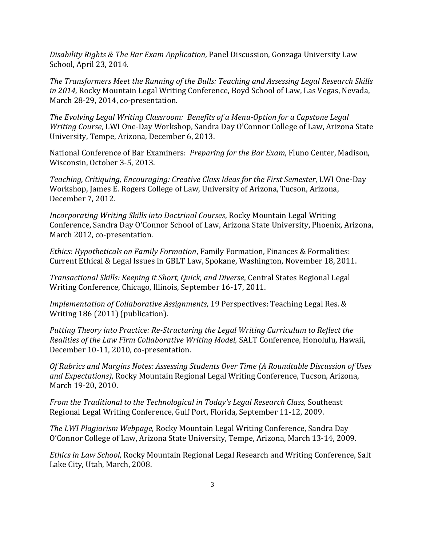*Disability Rights & The Bar Exam Application,* Panel Discussion, Gonzaga University Law School, April 23, 2014.

*The Transformers Meet the Running of the Bulls: Teaching and Assessing Legal Research Skills in 2014,* Rocky Mountain Legal Writing Conference, Boyd School of Law, Las Vegas, Nevada, March 28-29, 2014, co-presentation.

*The Evolving Legal Writing Classroom: Benefits of a Menu-Option for a Capstone Legal Writing Course*, LWI One-Day Workshop, Sandra Day O'Connor College of Law, Arizona State University, Tempe, Arizona, December 6, 2013.

National Conference of Bar Examiners: *Preparing for the Bar Exam*, Fluno Center, Madison, Wisconsin, October 3-5, 2013.

*Teaching, Critiquing, Encouraging: Creative Class Ideas for the First Semester*, LWI One-Day Workshop, James E. Rogers College of Law, University of Arizona, Tucson, Arizona, December 7, 2012.

*Incorporating Writing Skills into Doctrinal Courses*, Rocky Mountain Legal Writing Conference, Sandra Day O'Connor School of Law, Arizona State University, Phoenix, Arizona, March 2012, co-presentation.

*Ethics: Hypotheticals on Family Formation*, Family Formation, Finances & Formalities: Current Ethical & Legal Issues in GBLT Law, Spokane, Washington, November 18, 2011.

*Transactional Skills: Keeping it Short, Quick, and Diverse*, Central States Regional Legal Writing Conference, Chicago, Illinois, September 16-17, 2011.

*Implementation of Collaborative Assignments*, 19 Perspectives: Teaching Legal Res. & Writing 186 (2011) (publication).

*Putting Theory into Practice: Re-Structuring the Legal Writing Curriculum to Reflect the Realities of the Law Firm Collaborative Writing Model,* SALT Conference, Honolulu, Hawaii, December 10-11, 2010, co-presentation.

*Of Rubrics and Margins Notes: Assessing Students Over Time (A Roundtable Discussion of Uses and Expectations)*, Rocky Mountain Regional Legal Writing Conference, Tucson, Arizona, March 19-20, 2010.

*From the Traditional to the Technological in Today's Legal Research Class,* Southeast Regional Legal Writing Conference, Gulf Port, Florida, September 11-12, 2009.

*The LWI Plagiarism Webpage,* Rocky Mountain Legal Writing Conference, Sandra Day O'Connor College of Law, Arizona State University, Tempe, Arizona, March 13-14, 2009.

*Ethics in Law School*, Rocky Mountain Regional Legal Research and Writing Conference, Salt Lake City, Utah, March, 2008.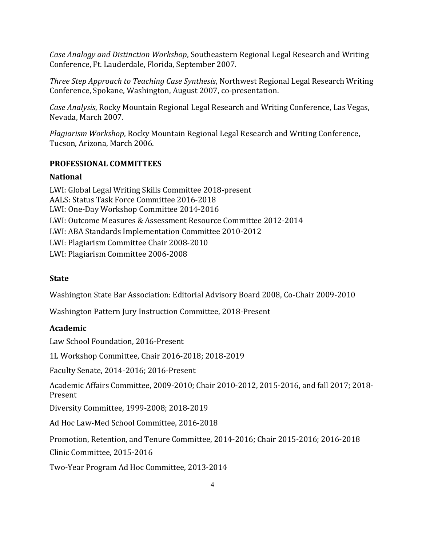*Case Analogy and Distinction Workshop*, Southeastern Regional Legal Research and Writing Conference, Ft. Lauderdale, Florida, September 2007.

*Three Step Approach to Teaching Case Synthesis*, Northwest Regional Legal Research Writing Conference, Spokane, Washington, August 2007, co-presentation.

*Case Analysis*, Rocky Mountain Regional Legal Research and Writing Conference, Las Vegas, Nevada, March 2007.

*Plagiarism Workshop*, Rocky Mountain Regional Legal Research and Writing Conference, Tucson, Arizona, March 2006.

# **PROFESSIONAL COMMITTEES**

### **National**

LWI: Global Legal Writing Skills Committee 2018-present AALS: Status Task Force Committee 2016-2018 LWI: One-Day Workshop Committee 2014-2016 LWI: Outcome Measures & Assessment Resource Committee 2012-2014 LWI: ABA Standards Implementation Committee 2010-2012 LWI: Plagiarism Committee Chair 2008-2010 LWI: Plagiarism Committee 2006-2008

# **State**

Washington State Bar Association: Editorial Advisory Board 2008, Co-Chair 2009-2010

Washington Pattern Jury Instruction Committee, 2018-Present

# **Academic**

Law School Foundation, 2016-Present

1L Workshop Committee, Chair 2016-2018; 2018-2019

Faculty Senate, 2014-2016; 2016-Present

Academic Affairs Committee, 2009-2010; Chair 2010-2012, 2015-2016, and fall 2017; 2018- Present

Diversity Committee, 1999-2008; 2018-2019

Ad Hoc Law-Med School Committee, 2016-2018

Promotion, Retention, and Tenure Committee, 2014-2016; Chair 2015-2016; 2016-2018

Clinic Committee, 2015-2016

Two-Year Program Ad Hoc Committee, 2013-2014